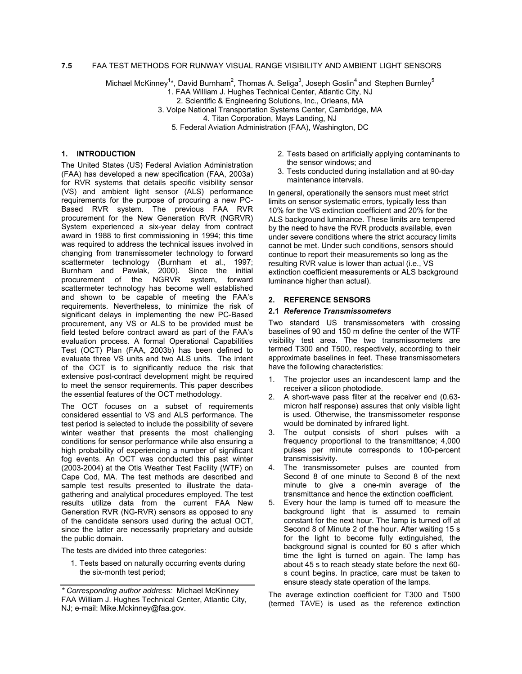# **7.5** FAA TEST METHODS FOR RUNWAY VISUAL RANGE VISIBILITY AND AMBIENT LIGHT SENSORS

Michael McKinney<sup>1</sup>\*, David Burnham<sup>2</sup>, Thomas A. Seliga<sup>3</sup>, Joseph Goslin<sup>4</sup> and Stephen Burnley<sup>5</sup>

1. FAA William J. Hughes Technical Center, Atlantic City, NJ

2. Scientific & Engineering Solutions, Inc., Orleans, MA

3. Volpe National Transportation Systems Center, Cambridge, MA

4. Titan Corporation, Mays Landing, NJ

5. Federal Aviation Administration (FAA), Washington, DC

# **1. INTRODUCTION**

The United States (US) Federal Aviation Administration (FAA) has developed a new specification (FAA, 2003a) for RVR systems that details specific visibility sensor (VS) and ambient light sensor (ALS) performance requirements for the purpose of procuring a new PC-Based RVR system. The previous FAA RVR procurement for the New Generation RVR (NGRVR) System experienced a six-year delay from contract award in 1988 to first commissioning in 1994; this time was required to address the technical issues involved in changing from transmissometer technology to forward scattermeter technology (Burnham et al., 1997; Burnham and Pawlak, 2000). Since the initial procurement of the NGRVR system, forward scattermeter technology has become well established and shown to be capable of meeting the FAA's requirements. Nevertheless, to minimize the risk of significant delays in implementing the new PC-Based procurement, any VS or ALS to be provided must be field tested before contract award as part of the FAA's evaluation process. A formal Operational Capabilities Test (OCT) Plan (FAA, 2003b) has been defined to evaluate three VS units and two ALS units. The intent of the OCT is to significantly reduce the risk that extensive post-contract development might be required to meet the sensor requirements. This paper describes the essential features of the OCT methodology.

The OCT focuses on a subset of requirements considered essential to VS and ALS performance. The test period is selected to include the possibility of severe winter weather that presents the most challenging conditions for sensor performance while also ensuring a high probability of experiencing a number of significant fog events. An OCT was conducted this past winter (2003-2004) at the Otis Weather Test Facility (WTF) on Cape Cod, MA. The test methods are described and sample test results presented to illustrate the datagathering and analytical procedures employed. The test results utilize data from the current FAA New Generation RVR (NG-RVR) sensors as opposed to any of the candidate sensors used during the actual OCT, since the latter are necessarily proprietary and outside the public domain.

The tests are divided into three categories:

1. Tests based on naturally occurring events during the six-month test period;

- 2. Tests based on artificially applying contaminants to the sensor windows; and
- 3. Tests conducted during installation and at 90-day maintenance intervals.

In general, operationally the sensors must meet strict limits on sensor systematic errors, typically less than 10% for the VS extinction coefficient and 20% for the ALS background luminance. These limits are tempered by the need to have the RVR products available, even under severe conditions where the strict accuracy limits cannot be met. Under such conditions, sensors should continue to report their measurements so long as the resulting RVR value is lower than actual (i.e., VS extinction coefficient measurements or ALS background luminance higher than actual).

# **2. REFERENCE SENSORS**

### **2.1** *Reference Transmissometers*

Two standard US transmissometers with crossing baselines of 90 and 150 m define the center of the WTF visibility test area. The two transmissometers are termed T300 and T500, respectively, according to their approximate baselines in feet. These transmissometers have the following characteristics:

- 1. The projector uses an incandescent lamp and the receiver a silicon photodiode.
- 2. A short-wave pass filter at the receiver end (0.63 micron half response) assures that only visible light is used. Otherwise, the transmissometer response would be dominated by infrared light.
- 3. The output consists of short pulses with a frequency proportional to the transmittance; 4,000 pulses per minute corresponds to 100-percent transmissisivity.
- 4. The transmissometer pulses are counted from Second 8 of one minute to Second 8 of the next minute to give a one-min average of the transmittance and hence the extinction coefficient.
- 5. Every hour the lamp is turned off to measure the background light that is assumed to remain constant for the next hour. The lamp is turned off at Second 8 of Minute 2 of the hour. After waiting 15 s for the light to become fully extinguished, the background signal is counted for 60 s after which time the light is turned on again. The lamp has about 45 s to reach steady state before the next 60 s count begins. In practice, care must be taken to ensure steady state operation of the lamps.

The average extinction coefficient for T300 and T500 (termed TAVE) is used as the reference extinction

*<sup>\*</sup> Corresponding author address:* Michael McKinney FAA William J. Hughes Technical Center, Atlantic City, NJ; e-mail: Mike.Mckinney@faa.gov.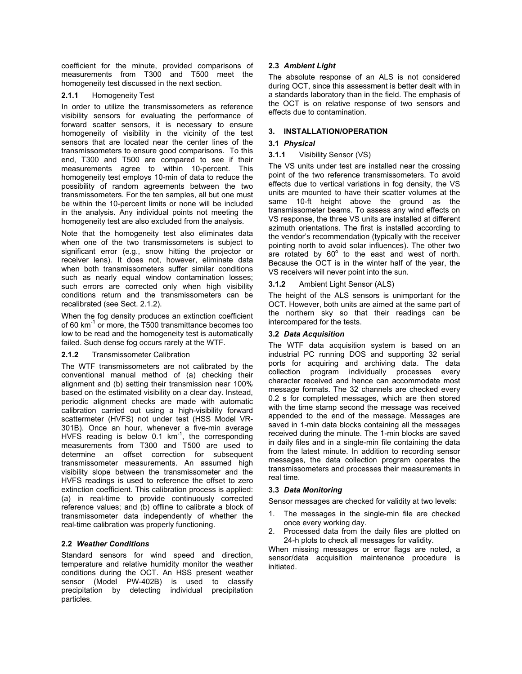coefficient for the minute, provided comparisons of measurements from T300 and T500 meet the homogeneity test discussed in the next section.

#### **2.1.1**  Homogeneity Test

In order to utilize the transmissometers as reference visibility sensors for evaluating the performance of forward scatter sensors, it is necessary to ensure homogeneity of visibility in the vicinity of the test sensors that are located near the center lines of the transmissometers to ensure good comparisons. To this end, T300 and T500 are compared to see if their measurements agree to within 10-percent. This homogeneity test employs 10-min of data to reduce the possibility of random agreements between the two transmissometers. For the ten samples, all but one must be within the 10-percent limits or none will be included in the analysis. Any individual points not meeting the homogeneity test are also excluded from the analysis.

Note that the homogeneity test also eliminates data when one of the two transmissometers is subject to significant error (e.g., snow hitting the projector or receiver lens). It does not, however, eliminate data when both transmissometers suffer similar conditions such as nearly equal window contamination losses; such errors are corrected only when high visibility conditions return and the transmissometers can be recalibrated (see Sect. 2.1.2).

When the fog density produces an extinction coefficient of 60 km<sup>-1</sup> or more, the T500 transmittance becomes too low to be read and the homogeneity test is automatically failed. Such dense fog occurs rarely at the WTF.

#### **2.1.2**  Transmissometer Calibration

The WTF transmissometers are not calibrated by the conventional manual method of (a) checking their alignment and (b) setting their transmission near 100% based on the estimated visibility on a clear day. Instead, periodic alignment checks are made with automatic calibration carried out using a high-visibility forward scattermeter (HVFS) not under test (HSS Model VR-301B). Once an hour, whenever a five-min average HVFS reading is below 0.1  $km^{-1}$ , the corresponding measurements from T300 and T500 are used to determine an offset correction for subsequent transmissometer measurements. An assumed high visibility slope between the transmissometer and the HVFS readings is used to reference the offset to zero extinction coefficient. This calibration process is applied: (a) in real-time to provide continuously corrected reference values; and (b) offline to calibrate a block of transmissometer data independently of whether the real-time calibration was properly functioning.

# **2.2** *Weather Conditions*

Standard sensors for wind speed and direction, temperature and relative humidity monitor the weather conditions during the OCT. An HSS present weather sensor (Model PW-402B) is used to classify precipitation by detecting individual precipitation particles.

# **2.3** *Ambient Light*

The absolute response of an ALS is not considered during OCT, since this assessment is better dealt with in a standards laboratory than in the field. The emphasis of the OCT is on relative response of two sensors and effects due to contamination.

# **3. INSTALLATION/OPERATION**

# **3.1** *Physical*

#### **3.1.1**  Visibility Sensor (VS)

The VS units under test are installed near the crossing point of the two reference transmissometers. To avoid effects due to vertical variations in fog density, the VS units are mounted to have their scatter volumes at the same 10-ft height above the ground as the transmissometer beams. To assess any wind effects on VS response, the three VS units are installed at different azimuth orientations. The first is installed according to the vendor's recommendation (typically with the receiver pointing north to avoid solar influences). The other two are rotated by  $60^{\circ}$  to the east and west of north. Because the OCT is in the winter half of the year, the VS receivers will never point into the sun.

#### **3.1.2**  Ambient Light Sensor (ALS)

The height of the ALS sensors is unimportant for the OCT. However, both units are aimed at the same part of the northern sky so that their readings can be intercompared for the tests.

# **3.2** *Data Acquisition*

The WTF data acquisition system is based on an industrial PC running DOS and supporting 32 serial ports for acquiring and archiving data. The data collection program individually processes every character received and hence can accommodate most message formats. The 32 channels are checked every 0.2 s for completed messages, which are then stored with the time stamp second the message was received appended to the end of the message. Messages are saved in 1-min data blocks containing all the messages received during the minute. The 1-min blocks are saved in daily files and in a single-min file containing the data from the latest minute. In addition to recording sensor messages, the data collection program operates the transmissometers and processes their measurements in real time.

# **3.3** *Data Monitoring*

Sensor messages are checked for validity at two levels:

- 1. The messages in the single-min file are checked once every working day.
- 2. Processed data from the daily files are plotted on 24-h plots to check all messages for validity.

When missing messages or error flags are noted, a sensor/data acquisition maintenance procedure is initiated.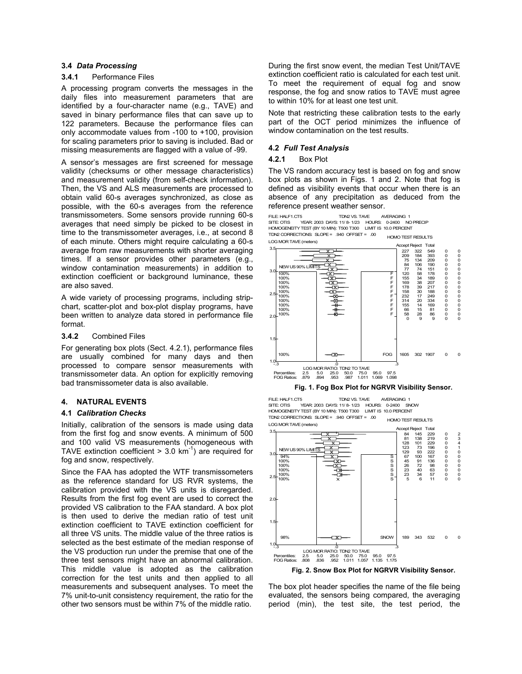## **3.4** *Data Processing*

#### **3.4.1** Performance Files

A processing program converts the messages in the daily files into measurement parameters that are identified by a four-character name (e.g., TAVE) and saved in binary performance files that can save up to 122 parameters. Because the performance files can only accommodate values from -100 to +100, provision for scaling parameters prior to saving is included. Bad or missing measurements are flagged with a value of -99.

A sensor's messages are first screened for message validity (checksums or other message characteristics) and measurement validity (from self-check information). Then, the VS and ALS measurements are processed to obtain valid 60-s averages synchronized, as close as possible, with the 60-s averages from the reference transmissometers. Some sensors provide running 60-s averages that need simply be picked to be closest in time to the transmissometer averages, i.e., at second 8 of each minute. Others might require calculating a 60-s average from raw measurements with shorter averaging times. If a sensor provides other parameters (e.g., window contamination measurements) in addition to extinction coefficient or background luminance, these are also saved.

A wide variety of processing programs, including stripchart, scatter-plot and box-plot display programs, have been written to analyze data stored in performance file format.

#### **3.4.2** Combined Files

For generating box plots (Sect. 4.2.1), performance files are usually combined for many days and then processed to compare sensor measurements with transmissometer data. An option for explicitly removing bad transmissometer data is also available.

### **4. NATURAL EVENTS**

### **4.1** *Calibration Checks*

Initially, calibration of the sensors is made using data from the first fog and snow events. A minimum of 500 and 100 valid VS measurements (homogeneous with TAVE extinction coefficient  $> 3.0 \text{ km}^{-1}$ ) are required for fog and snow, respectively.

Since the FAA has adopted the WTF transmissometers as the reference standard for US RVR systems, the calibration provided with the VS units is disregarded. Results from the first fog event are used to correct the provided VS calibration to the FAA standard. A box plot is then used to derive the median ratio of test unit extinction coefficient to TAVE extinction coefficient for all three VS units. The middle value of the three ratios is selected as the best estimate of the median response of the VS production run under the premise that one of the three test sensors might have an abnormal calibration. This middle value is adopted as the calibration correction for the test units and then applied to all measurements and subsequent analyses. To meet the 7% unit-to-unit consistency requirement, the ratio for the other two sensors must be within 7% of the middle ratio.

During the first snow event, the median Test Unit/TAVE extinction coefficient ratio is calculated for each test unit. To meet the requirement of equal fog and snow response, the fog and snow ratios to TAVE must agree to within 10% for at least one test unit.

Note that restricting these calibration tests to the early part of the OCT period minimizes the influence of window contamination on the test results.

### **4.2** *Full Test Analysis*

#### **4.2.1** Box Plot

The VS random accuracy test is based on fog and snow box plots as shown in Figs. 1 and 2. Note that fog is defined as visibility events that occur when there is an absence of any precipitation as deduced from the reference present weather sensor.



## **Fig. 1. Fog Box Plot for NGRVR Visibility Sensor.**

LOG MOR TAVE (meters) HOMOTEST RESULTS FILE: HALF1.CT5 TDN2 VS. TAVE AVERAGING 1 SITE: OTIS YEAR: 2003 DAYS: 11/ 8- 1/23 HOURS: 0-2400 SNOW HOMOGENEITY TEST (BY 10 MIN): T500 T300 LIMIT IS 10.0 PERCENT TDN2 CORRECTIONS: SLOPE = .940 OFFSET = .00



**Fig. 2. Snow Box Plot for NGRVR Visibility Sensor.** 

The box plot header specifies the name of the file being evaluated, the sensors being compared, the averaging period (min), the test site, the test period, the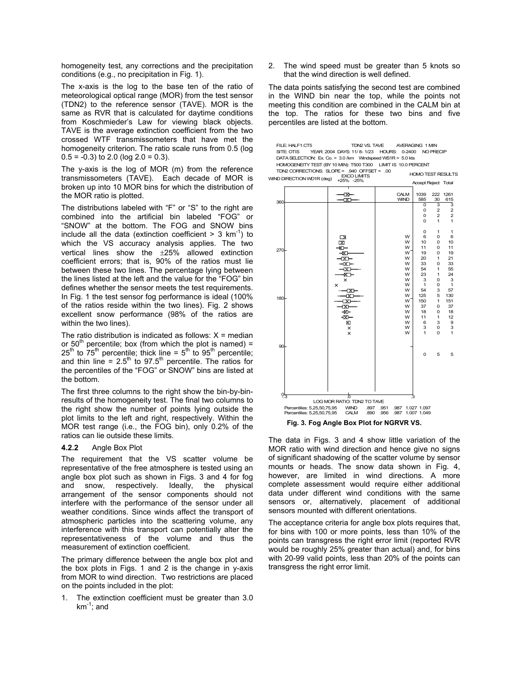homogeneity test, any corrections and the precipitation conditions (e.g., no precipitation in Fig. 1).

The x-axis is the log to the base ten of the ratio of meteorological optical range (MOR) from the test sensor (TDN2) to the reference sensor (TAVE). MOR is the same as RVR that is calculated for daytime conditions from Koschmieder's Law for viewing black objects. TAVE is the average extinction coefficient from the two crossed WTF transmissometers that have met the homogeneity criterion. The ratio scale runs from 0.5 (log  $0.5 = -0.3$  to 2.0 (log  $2.0 = 0.3$ ).

The y-axis is the log of MOR (m) from the reference transmissometers (TAVE). Each decade of MOR is broken up into 10 MOR bins for which the distribution of the MOR ratio is plotted.

The distributions labeled with "F" or "S" to the right are combined into the artificial bin labeled "FOG" or "SNOW" at the bottom. The FOG and SNOW bins include all the data (extinction coefficient  $> 3$  km<sup>-1</sup>) to which the VS accuracy analysis applies. The two vertical lines show the ±25% allowed extinction coefficient errors; that is, 90% of the ratios must lie between these two lines. The percentage lying between the lines listed at the left and the value for the "FOG" bin defines whether the sensor meets the test requirements. In Fig. 1 the test sensor fog performance is ideal (100% of the ratios reside within the two lines). Fig. 2 shows excellent snow performance (98% of the ratios are within the two lines).

The ratio distribution is indicated as follows:  $X = \text{median}$ or  $50<sup>th</sup>$  percentile; box (from which the plot is named) =  $25<sup>th</sup>$  to  $75<sup>th</sup>$  percentile; thick line =  $5<sup>th</sup>$  to  $95<sup>th</sup>$  percentile; and thin line =  $2.5<sup>th</sup>$  to 97.5<sup>th</sup> percentile. The ratios for the percentiles of the "FOG" or SNOW" bins are listed at the bottom.

The first three columns to the right show the bin-by-binresults of the homogeneity test. The final two columns to the right show the number of points lying outside the plot limits to the left and right, respectively. Within the MOR test range (i.e., the FOG bin), only 0.2% of the ratios can lie outside these limits.

### **4.2.2** Angle Box Plot

The requirement that the VS scatter volume be representative of the free atmosphere is tested using an angle box plot such as shown in Figs. 3 and 4 for fog and snow, respectively. Ideally, the physical arrangement of the sensor components should not interfere with the performance of the sensor under all weather conditions. Since winds affect the transport of atmospheric particles into the scattering volume, any interference with this transport can potentially alter the representativeness of the volume and thus the measurement of extinction coefficient.

The primary difference between the angle box plot and the box plots in Figs. 1 and 2 is the change in  $y$ -axis from MOR to wind direction. Two restrictions are placed on the points included in the plot:

1. The extinction coefficient must be greater than 3.0  $km^{-1}$ ; and

2. The wind speed must be greater than 5 knots so that the wind direction is well defined.

The data points satisfying the second test are combined in the WIND bin near the top, while the points not meeting this condition are combined in the CALM bin at the top. The ratios for these two bins and five percentiles are listed at the bottom.

| FILE: HALF1.CT5                                                                                  |            |                                                    |       | TDN2 VS. TAVE AVERAGING 1 MIN |          |
|--------------------------------------------------------------------------------------------------|------------|----------------------------------------------------|-------|-------------------------------|----------|
|                                                                                                  | SITE: OTIS | YEAR: 2004 DAYS: 11/8-1/23 HOURS: 0-2400 NO PRECIP |       |                               |          |
|                                                                                                  |            |                                                    |       |                               |          |
| HOMOGENEITY TEST (BY 10 MIN): T500 T300 LIMIT IS 10.0 PERCENT                                    |            |                                                    |       |                               |          |
| TDN2 CORRECTIONS: SLOPE = $.940$ OFFSET = $.00$<br><b>HOMO TEST RESULTS</b><br><b>EXCOLIMITS</b> |            |                                                    |       |                               |          |
| WIND DIRECTION WD1R (dea)<br>$+25% -25%$<br>Accept Reject Total                                  |            |                                                    |       |                               |          |
|                                                                                                  |            |                                                    |       |                               |          |
|                                                                                                  |            |                                                    | CAI M | 1039<br>.                     | 222 1261 |
|                                                                                                  |            |                                                    |       |                               |          |



The data in Figs. 3 and 4 show little variation of the MOR ratio with wind direction and hence give no signs of significant shadowing of the scatter volume by sensor mounts or heads. The snow data shown in Fig. 4, however, are limited in wind directions. A more complete assessment would require either additional data under different wind conditions with the same sensors or, alternatively, placement of additional sensors mounted with different orientations.

The acceptance criteria for angle box plots requires that, for bins with 100 or more points, less than 10% of the points can transgress the right error limit (reported RVR would be roughly 25% greater than actual) and, for bins with 20-99 valid points, less than 20% of the points can transgress the right error limit.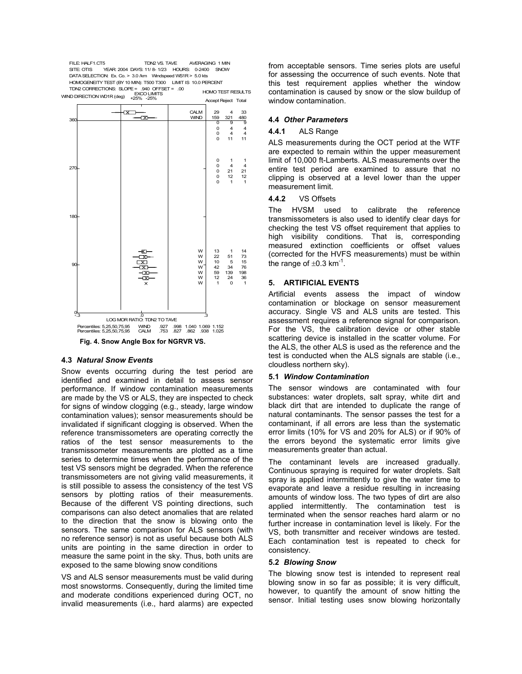HOMO TEST RESULTS FILE: HALF1.CT5 TDN2 VS. TAVE AVERAGING 1 MIN<br>SITE: OTIS YEAR: 2004 DAYS: 11/8-1/23 HOURS: 0-2400 SNOW YEAR: 2004 DAYS: 11/ 8- 1/23 HOURS: 0-2400 SNOW DATA SELECTION: Ex. Co. > 3.0 /km Windspeed WS1R > 5.0 kts HOMOGENEITYTEST (BY 10 MIN): T500 T300 LIMIT IS 10.0 PERCENT TDN2 CORRECTIONS: SLOPE= .940 OFFSET = .00 EXCO LIMITS



### **4.3** *Natural Snow Events*

Snow events occurring during the test period are identified and examined in detail to assess sensor performance. If window contamination measurements are made by the VS or ALS, they are inspected to check for signs of window clogging (e.g., steady, large window contamination values); sensor measurements should be invalidated if significant clogging is observed. When the reference transmissometers are operating correctly the ratios of the test sensor measurements to the transmissometer measurements are plotted as a time series to determine times when the performance of the test VS sensors might be degraded. When the reference transmissometers are not giving valid measurements, it is still possible to assess the consistency of the test VS sensors by plotting ratios of their measurements. Because of the different VS pointing directions, such comparisons can also detect anomalies that are related to the direction that the snow is blowing onto the sensors. The same comparison for ALS sensors (with no reference sensor) is not as useful because both ALS units are pointing in the same direction in order to measure the same point in the sky. Thus, both units are exposed to the same blowing snow conditions

VS and ALS sensor measurements must be valid during most snowstorms. Consequently, during the limited time and moderate conditions experienced during OCT, no invalid measurements (i.e., hard alarms) are expected

from acceptable sensors. Time series plots are useful for assessing the occurrence of such events. Note that this test requirement applies whether the window contamination is caused by snow or the slow buildup of window contamination.

## **4.4** *Other Parameters*

#### **4.4.1** ALS Range

ALS measurements during the OCT period at the WTF are expected to remain within the upper measurement limit of 10,000 ft-Lamberts. ALS measurements over the entire test period are examined to assure that no clipping is observed at a level lower than the upper measurement limit.

#### **4.4.2** VS Offsets

The HVSM used to calibrate the reference transmissometers is also used to identify clear days for checking the test VS offset requirement that applies to high visibility conditions. That is, corresponding measured extinction coefficients or offset values (corrected for the HVFS measurements) must be within the range of  $\pm 0.3$  km<sup>-1</sup>.

### **5. ARTIFICIAL EVENTS**

Artificial events assess the impact of window contamination or blockage on sensor measurement accuracy. Single VS and ALS units are tested. This assessment requires a reference signal for comparison. For the VS, the calibration device or other stable scattering device is installed in the scatter volume. For the ALS, the other ALS is used as the reference and the test is conducted when the ALS signals are stable (i.e., cloudless northern sky).

### **5.1** *Window Contamination*

The sensor windows are contaminated with four substances: water droplets, salt spray, white dirt and black dirt that are intended to duplicate the range of natural contaminants. The sensor passes the test for a contaminant, if all errors are less than the systematic error limits (10% for VS and 20% for ALS) or if 90% of the errors beyond the systematic error limits give measurements greater than actual.

The contaminant levels are increased gradually. Continuous spraying is required for water droplets. Salt spray is applied intermittently to give the water time to evaporate and leave a residue resulting in increasing amounts of window loss. The two types of dirt are also applied intermittently. The contamination test is terminated when the sensor reaches hard alarm or no further increase in contamination level is likely. For the VS, both transmitter and receiver windows are tested. Each contamination test is repeated to check for consistency.

### **5.2** *Blowing Snow*

The blowing snow test is intended to represent real blowing snow in so far as possible; it is very difficult, however, to quantify the amount of snow hitting the sensor. Initial testing uses snow blowing horizontally